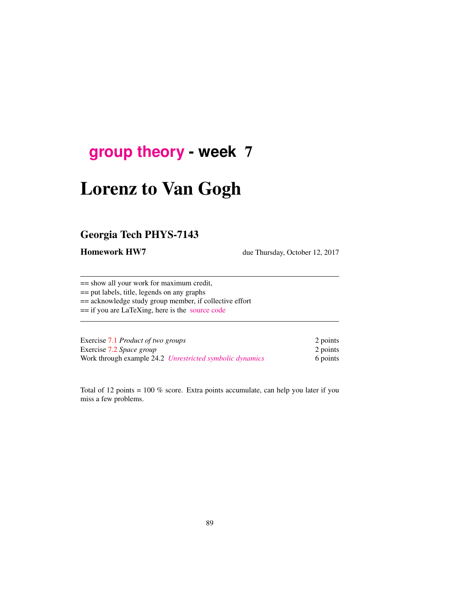## **[group theory](http://birdtracks.eu/courses/PHYS-7143-17/schedule.html) - week** 7

# Lorenz to Van Gogh

## Georgia Tech PHYS-7143

Homework HW7 due Thursday, October 12, 2017

== show all your work for maximum credit, == put labels, title, legends on any graphs == acknowledge study group member, if collective effort == if you are LaTeXing, here is the [source code](http://birdtracks.eu/courses/PHYS-7143-17/exerWeek7.tex)

| Exercise 7.1 <i>Product of two groups</i><br>Exercise 7.2 Space group<br>Work through example 24.2 Unrestricted symbolic dynamics | 2 points             |
|-----------------------------------------------------------------------------------------------------------------------------------|----------------------|
|                                                                                                                                   | 2 points<br>6 points |

Total of 12 points = 100 % score. Extra points accumulate, can help you later if you miss a few problems.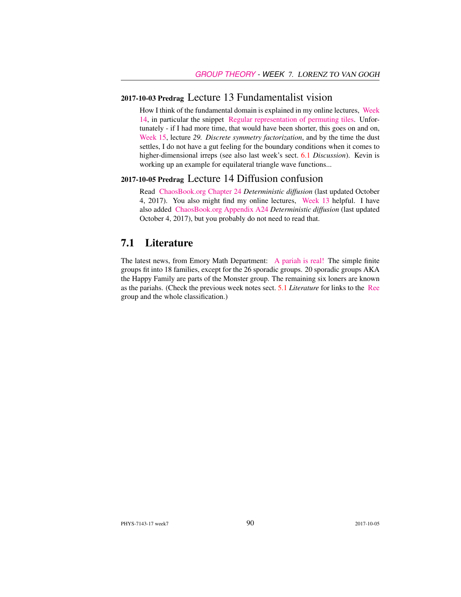#### 2017-10-03 Predrag Lecture 13 Fundamentalist vision

How I think of the fundamental domain is explained in my online lectures, [Week](http://chaosbook.org/course1/Course2w14.html) [14,](http://chaosbook.org/course1/Course2w14.html) in particular the snippet [Regular representation of permuting tiles.](http://www.youtube.com/embed/SnBUkUqsWTU) Unfortunately - if I had more time, that would have been shorter, this goes on and on, [Week 15,](http://chaosbook.org/course1/Course2w15.html) lecture *29. Discrete symmetry factorization*, and by the time the dust settles, I do not have a gut feeling for the boundary conditions when it comes to higher-dimensional irreps (see also last week's sect. 6.1 *Discussion*). Kevin is working up an example for equilateral triangle wave functions...

#### 2017-10-05 Predrag Lecture 14 Diffusion confusion

Read [ChaosBook.org Chapter 24](http://birdtracks.eu/courses/PHYS-7143-17/diffusion.pdf) *Deterministic diffusion* (last updated October 4, 2017). You also might find my online lectures, [Week 13](http://chaosbook.org/course1/Course2w13.html) helpful. I have also added [ChaosBook.org Appendix A24](http://birdtracks.eu/courses/PHYS-7143-17/appendDiff.pdf) *Deterministic diffusion* (last updated October 4, 2017), but you probably do not need to read that.

#### 7.1 Literature

The latest news, from Emory Math Department: [A pariah is real!](https://cosmosmagazine.com/mathematics/moonshine-doughnut-maths-proves-pariahs-are-real) The simple finite groups fit into 18 families, except for the 26 sporadic groups. 20 sporadic groups AKA the Happy Family are parts of the Monster group. The remaining six loners are known as the pariahs. (Check the previous week notes sect. 5.1 *Literature* for links to the [Ree](https://en.wikipedia.org/wiki/List_of_finite_simple_groups) group and the whole classification.)